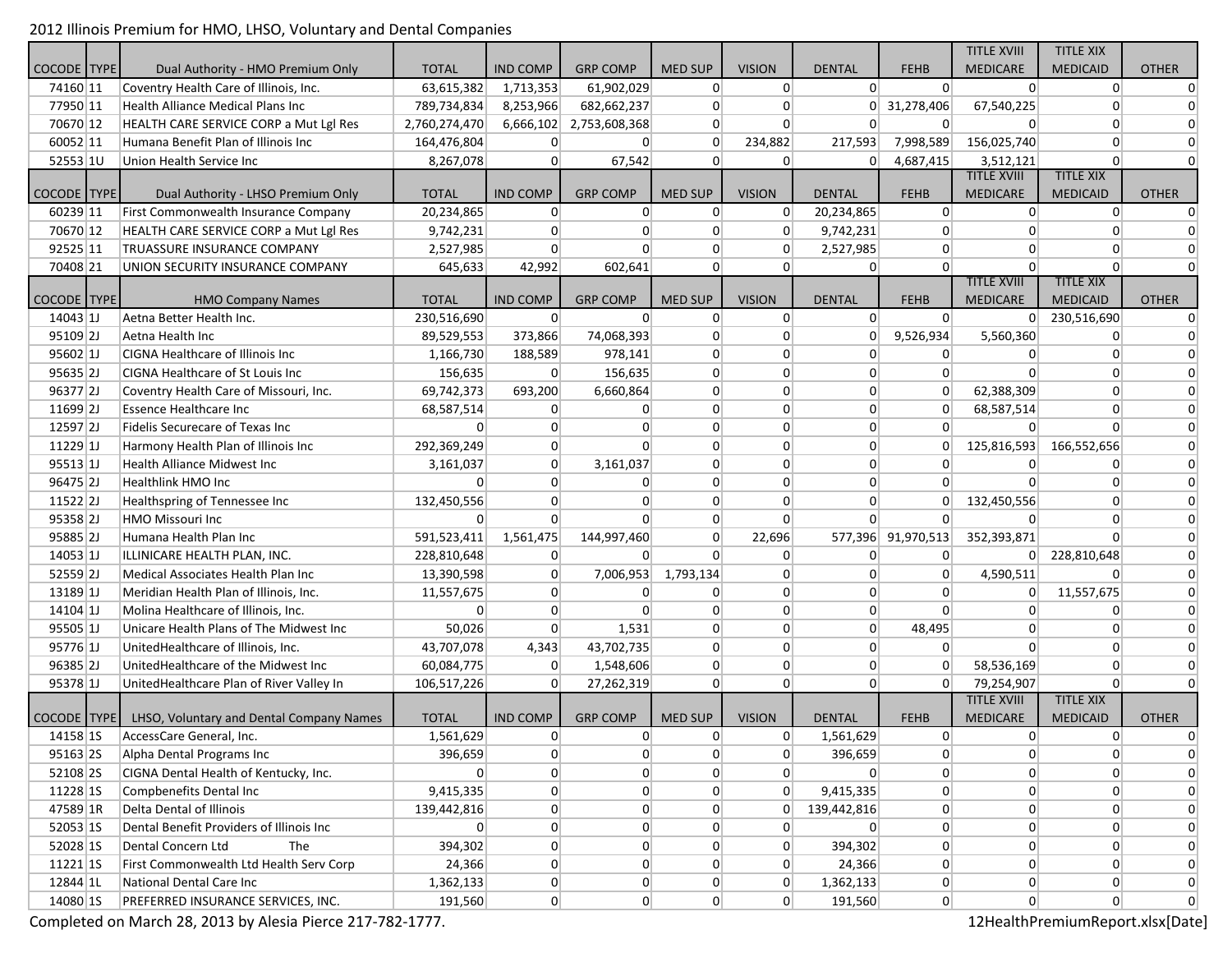2012 Illinois Premium for HMO, LHSO, Voluntary and Dental Companies

|                        |                                                          |                |                 |                 |                |                 |                |                    | <b>TITLE XVIII</b> | <b>TITLE XIX</b> |                |
|------------------------|----------------------------------------------------------|----------------|-----------------|-----------------|----------------|-----------------|----------------|--------------------|--------------------|------------------|----------------|
| COCODE TYPE            | Dual Authority - HMO Premium Only                        | <b>TOTAL</b>   | <b>IND COMP</b> | <b>GRP COMP</b> | <b>MED SUP</b> | <b>VISION</b>   | <b>DENTAL</b>  | <b>FEHB</b>        | <b>MEDICARE</b>    | <b>MEDICAID</b>  | <b>OTHER</b>   |
| 74160 11               | Coventry Health Care of Illinois, Inc.                   | 63,615,382     | 1,713,353       | 61,902,029      | $\overline{0}$ | 0               | $\Omega$       | 0                  | $\Omega$           | 0                | 0              |
| 77950 11               | Health Alliance Medical Plans Inc                        | 789,734,834    | 8,253,966       | 682,662,237     | $\overline{0}$ | 0               |                | 0 31,278,406       | 67,540,225         | $\Omega$         | 0              |
| 70670 12               | HEALTH CARE SERVICE CORP a Mut Lgl Res                   | 2,760,274,470  | 6,666,102       | 2,753,608,368   | $\overline{0}$ | 0               | 0              | $\mathbf 0$        | $\overline{0}$     | $\overline{0}$   | 0              |
| 60052 11               | Humana Benefit Plan of Illinois Inc                      | 164,476,804    | 0               | $\overline{0}$  | $\Omega$       | 234,882         | 217,593        | 7,998,589          | 156,025,740        | $\overline{0}$   | $\overline{0}$ |
| 52553 1U               | Union Health Service Inc                                 | 8,267,078      | 0               | 67,542          | $\Omega$       | 0               | $\overline{0}$ | 4,687,415          | 3,512,121          | $\Omega$         | $\Omega$       |
|                        |                                                          |                |                 |                 |                |                 |                |                    | <b>TITLE XVIII</b> | <b>TITLE XIX</b> |                |
| <b>COCODE</b> TYPE     | Dual Authority - LHSO Premium Only                       | <b>TOTAL</b>   | <b>IND COMP</b> | <b>GRP COMP</b> | <b>MED SUP</b> | <b>VISION</b>   | <b>DENTAL</b>  | <b>FEHB</b>        | <b>MEDICARE</b>    | <b>MEDICAID</b>  | <b>OTHER</b>   |
| 60239 11               | First Commonwealth Insurance Company                     | 20,234,865     | 0               | $\overline{0}$  | $\overline{0}$ | 0               | 20,234,865     | $\boldsymbol{0}$   | $\overline{0}$     | $\overline{0}$   | $\Omega$       |
| 70670 12               | HEALTH CARE SERVICE CORP a Mut Lgl Res                   | 9,742,231      | 0               | $\overline{0}$  | $\overline{0}$ | 0               | 9,742,231      | $\overline{0}$     | $\overline{0}$     | $\Omega$         | $\Omega$       |
| 92525 11               | <b>TRUASSURE INSURANCE COMPANY</b>                       | 2,527,985      | 0               | $\Omega$        | $\overline{0}$ | 0               | 2,527,985      | $\overline{0}$     | $\overline{0}$     | $\Omega$         | 0              |
| 70408 21               | UNION SECURITY INSURANCE COMPANY                         | 645,633        | 42,992          | 602,641         | $\overline{0}$ | $\overline{0}$  | $\overline{0}$ | 0                  | $\Omega$           | n                |                |
|                        |                                                          |                |                 |                 |                |                 |                |                    | <b>TITLE XVIII</b> | <b>TITLE XIX</b> |                |
| <b>COCODE   TYPE  </b> | <b>HMO Company Names</b>                                 | <b>TOTAL</b>   | <b>IND COMP</b> | <b>GRP COMP</b> | <b>MED SUP</b> | <b>VISION</b>   | <b>DENTAL</b>  | <b>FEHB</b>        | <b>MEDICARE</b>    | <b>MEDICAID</b>  | <b>OTHER</b>   |
| 14043 <sup>[1]</sup>   | Aetna Better Health Inc.                                 | 230,516,690    | $\Omega$        | $\Omega$        | $\overline{0}$ | 0               | 0              | $\Omega$           | $\Omega$           | 230,516,690      | 0              |
| $95109$ 2J             | Aetna Health Inc                                         | 89,529,553     | 373,866         | 74,068,393      | $\overline{0}$ | $\overline{0}$  | $\Omega$       | 9,526,934          | 5,560,360          | $\Omega$         | 0              |
| 95602 1                | <b>CIGNA Healthcare of Illinois Inc</b>                  | 1,166,730      | 188,589         | 978,141         | $\Omega$       | 0               | $\Omega$       | $\overline{0}$     | $\Omega$           | $\Omega$         | $\overline{0}$ |
| $95635$  2J            | CIGNA Healthcare of St Louis Inc                         | 156,635        | $\Omega$        | 156,635         | $\overline{0}$ | 0               | $\Omega$       | 0                  | $\Omega$           | $\Omega$         | $\overline{0}$ |
| 96377 2J               | Coventry Health Care of Missouri, Inc.                   | 69,742,373     | 693,200         | 6,660,864       | $\overline{0}$ | $\vert 0 \vert$ | $\overline{0}$ | 0                  | 62,388,309         | $\Omega$         | $\overline{0}$ |
| 11699 <sub>2</sub> J   | <b>Essence Healthcare Inc.</b>                           | 68,587,514     | $\Omega$        | $\overline{0}$  | $\overline{0}$ | 0               | $\overline{0}$ | $\mathbf 0$        | 68,587,514         | $\overline{0}$   | $\overline{0}$ |
| $12597$  2J            | Fidelis Securecare of Texas Inc                          | $\overline{0}$ | $\mathbf 0$     | $\overline{0}$  | $\overline{0}$ | $\overline{0}$  | $\overline{0}$ | $\overline{0}$     | $\overline{0}$     | $\overline{0}$   | $\overline{0}$ |
| $11229$ 1J             | Harmony Health Plan of Illinois Inc                      | 292,369,249    | 0               | $\overline{0}$  | $\overline{0}$ | $\overline{0}$  | $\overline{0}$ | 0                  | 125,816,593        | 166,552,656      | $\overline{0}$ |
| 95513 1                | Health Alliance Midwest Inc                              | 3,161,037      | 0               | 3,161,037       | $\overline{0}$ | $\overline{0}$  | $\overline{0}$ | $\mathbf{0}$       | 0                  | $\overline{0}$   | $\overline{0}$ |
| $96475$  2J            | Healthlink HMO Inc                                       | $\overline{0}$ | $\Omega$        | $\overline{0}$  | $\overline{0}$ | $\overline{0}$  | $\overline{0}$ | $\overline{0}$     | $\overline{0}$     | $\Omega$         | $\overline{0}$ |
| $11522$  2J            | Healthspring of Tennessee Inc                            | 132,450,556    | $\overline{0}$  | $\overline{0}$  | $\overline{0}$ | $\overline{0}$  | $\overline{0}$ | $\mathbf{0}$       | 132,450,556        | $\overline{0}$   | 0              |
| 95358 <sub>2J</sub>    | HMO Missouri Inc                                         | $\Omega$       | $\Omega$        | $\Omega$        | $\overline{0}$ | $\overline{0}$  | $\Omega$       | $\Omega$           | $\overline{0}$     | $\overline{0}$   | $\overline{0}$ |
| 95885 2J               | Humana Health Plan Inc                                   | 591,523,411    | 1,561,475       | 144,997,460     | $\overline{0}$ | 22,696          |                | 577,396 91,970,513 | 352,393,871        | $\Omega$         | $\overline{0}$ |
| $14053$ 1J             | ILLINICARE HEALTH PLAN, INC.                             | 228,810,648    | $\overline{0}$  | $\Omega$        | $\Omega$       | 0               | $\overline{0}$ | $\overline{0}$     |                    | 0 228,810,648    | $\overline{0}$ |
| $52559$  2J            | Medical Associates Health Plan Inc                       | 13,390,598     | $\vert 0 \vert$ | 7,006,953       | 1,793,134      | $\overline{0}$  | $\overline{0}$ | 0                  | 4,590,511          | $\Omega$         | $\overline{0}$ |
| $13189$ 1J             | Meridian Health Plan of Illinois, Inc.                   | 11,557,675     | 0               | $\overline{0}$  | $\overline{0}$ | $\overline{0}$  | $\overline{0}$ | $\overline{0}$     | 0                  | 11,557,675       | $\overline{0}$ |
| $14104$ 1J             | Molina Healthcare of Illinois, Inc.                      | $\overline{0}$ | 0               | $\Omega$        | $\overline{0}$ | $\overline{0}$  | $\overline{0}$ | $\Omega$           | $\Omega$           | $\Omega$         | $\overline{0}$ |
| 95505 1                | Unicare Health Plans of The Midwest Inc                  | 50,026         | $\overline{0}$  | 1,531           | $\overline{0}$ | $\overline{0}$  | $\overline{0}$ | 48,495             | $\overline{0}$     | $\Omega$         | 0              |
| 95776 1                | UnitedHealthcare of Illinois, Inc.                       | 43,707,078     | 4,343           | 43,702,735      | $\overline{0}$ | $\overline{0}$  | $\overline{0}$ | 0                  | $\overline{0}$     | $\overline{0}$   | 0              |
| $96385$  2J            | UnitedHealthcare of the Midwest Inc                      | 60,084,775     | 0               | 1,548,606       | $\overline{0}$ | 0               | $\overline{0}$ | 0                  | 58,536,169         | $\overline{0}$   | $\overline{0}$ |
| 95378 1J               | UnitedHealthcare Plan of River Valley In                 | 106,517,226    | $\Omega$        | 27,262,319      | $\overline{0}$ | $\overline{0}$  | $\overline{0}$ | $\Omega$           | 79,254,907         | $\Omega$         | $\Omega$       |
|                        |                                                          |                |                 |                 |                |                 |                |                    | <b>TITLE XVIII</b> | <b>TITLE XIX</b> |                |
|                        | COCODE   TYPE   LHSO, Voluntary and Dental Company Names | <b>TOTAL</b>   | <b>IND COMP</b> | <b>GRP COMP</b> | <b>MED SUP</b> | <b>VISION</b>   | <b>DENTAL</b>  | <b>FEHB</b>        | <b>MEDICARE</b>    | <b>MEDICAID</b>  | <b>OTHER</b>   |
| 14158 1S               | AccessCare General, Inc.                                 | 1,561,629      | 0               | $\overline{0}$  | $\overline{0}$ | 0               | 1,561,629      | 0                  | 0                  | $\overline{0}$   | $\Omega$       |
| 95163 2S               | Alpha Dental Programs Inc                                | 396,659        | 0               | $\overline{0}$  | $\overline{0}$ | 0               | 396,659        | $\boldsymbol{0}$   | $\overline{0}$     | $\overline{0}$   | $\overline{0}$ |
| 52108 2S               | CIGNA Dental Health of Kentucky, Inc.                    | 0              | 0               | 0               | $\overline{0}$ | 0               |                | 0                  | $\overline{0}$     | $\overline{0}$   | $\overline{0}$ |
| 11228 1S               | Compbenefits Dental Inc                                  | 9,415,335      | $\overline{0}$  | $\overline{0}$  | $\overline{0}$ | 0               | 9,415,335      | $\boldsymbol{0}$   | 0                  | $\overline{0}$   | $\overline{0}$ |
| 47589 1R               | Delta Dental of Illinois                                 | 139,442,816    | 0               | $\overline{0}$  | $\overline{0}$ | 0               | 139,442,816    | $\boldsymbol{0}$   | $\overline{0}$     | $\overline{0}$   | $\overline{0}$ |
| 52053 1S               | Dental Benefit Providers of Illinois Inc                 | 0              | 0               | $\overline{0}$  | $\overline{0}$ | $\overline{0}$  | $\overline{0}$ | $\boldsymbol{0}$   | 0                  | $\overline{0}$   | $\overline{0}$ |
| 52028 1S               | Dental Concern Ltd<br>The                                | 394,302        | 0               | $\overline{0}$  | $\overline{0}$ | 0               | 394,302        | $\mathbf{0}$       | 0                  | $\overline{0}$   | $\overline{0}$ |
| $11221$ 15             | First Commonwealth Ltd Health Serv Corp                  | 24,366         | 0               | $\overline{0}$  | $\overline{0}$ | 0               | 24,366         | $\vert 0 \vert$    | 0                  | $\overline{0}$   | $\overline{0}$ |
| 12844 1L               | National Dental Care Inc                                 | 1,362,133      | 0               | 0               | 0              | 0               | 1,362,133      | $\boldsymbol{0}$   | 0                  | $\boldsymbol{0}$ | $\overline{0}$ |
|                        |                                                          |                |                 | $\overline{0}$  | $\overline{0}$ | 0               |                |                    |                    | $\overline{0}$   | $\overline{0}$ |
| 14080 1S               | PREFERRED INSURANCE SERVICES, INC.                       | 191,560        | $\overline{0}$  |                 |                |                 | 191,560        | 0                  | 0                  |                  |                |

Completed on March 28, 2013 by Alesia Pierce 217-782-1777. The and the state of the state of the state of the state of the state of the state of the state of the state of the state of the state of the state of the state of